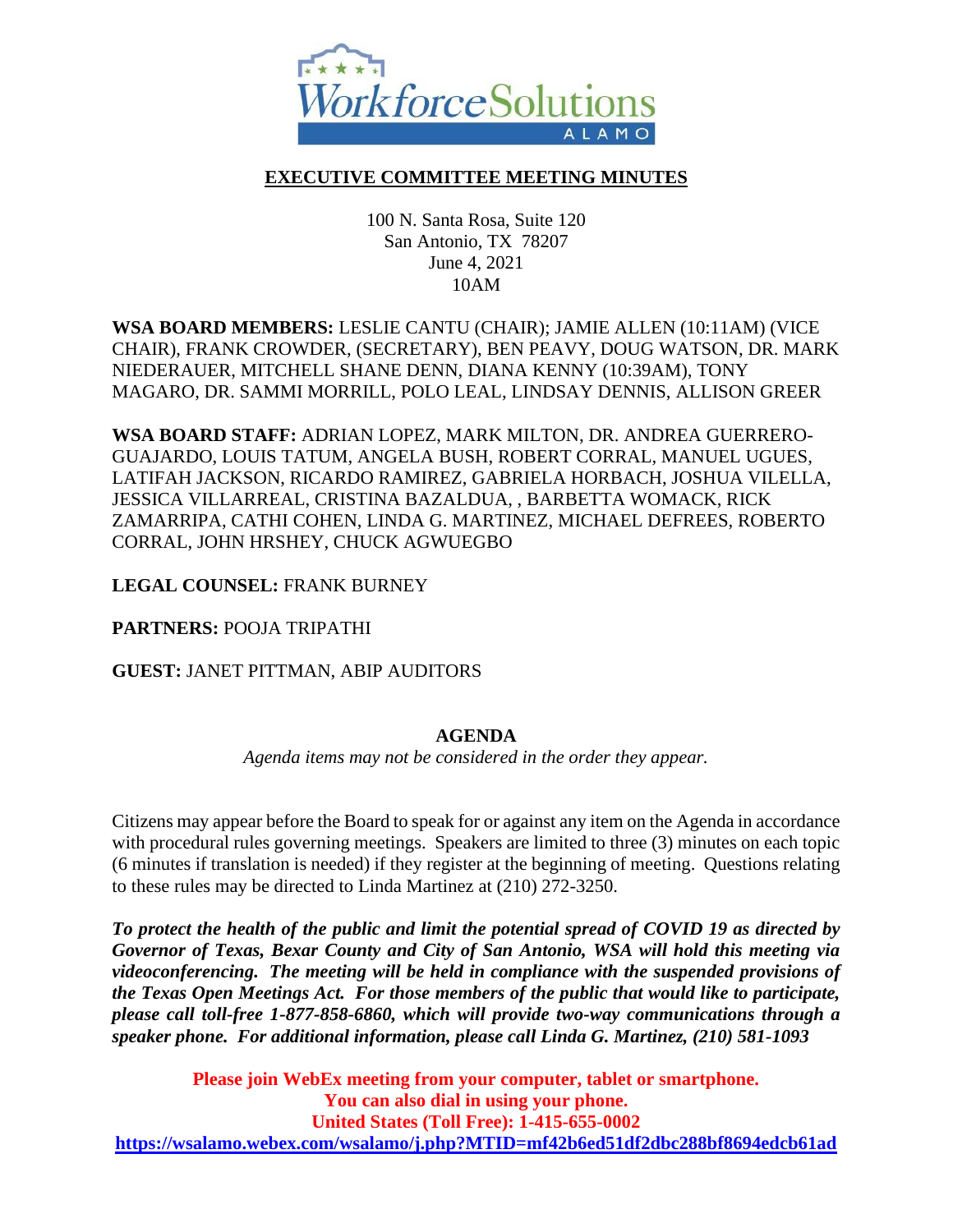

## **EXECUTIVE COMMITTEE MEETING MINUTES**

100 N. Santa Rosa, Suite 120 San Antonio, TX 78207 June 4, 2021 10AM

**WSA BOARD MEMBERS:** LESLIE CANTU (CHAIR); JAMIE ALLEN (10:11AM) (VICE CHAIR), FRANK CROWDER, (SECRETARY), BEN PEAVY, DOUG WATSON, DR. MARK NIEDERAUER, MITCHELL SHANE DENN, DIANA KENNY (10:39AM), TONY MAGARO, DR. SAMMI MORRILL, POLO LEAL, LINDSAY DENNIS, ALLISON GREER

**WSA BOARD STAFF:** ADRIAN LOPEZ, MARK MILTON, DR. ANDREA GUERRERO-GUAJARDO, LOUIS TATUM, ANGELA BUSH, ROBERT CORRAL, MANUEL UGUES, LATIFAH JACKSON, RICARDO RAMIREZ, GABRIELA HORBACH, JOSHUA VILELLA, JESSICA VILLARREAL, CRISTINA BAZALDUA, , BARBETTA WOMACK, RICK ZAMARRIPA, CATHI COHEN, LINDA G. MARTINEZ, MICHAEL DEFREES, ROBERTO CORRAL, JOHN HRSHEY, CHUCK AGWUEGBO

**LEGAL COUNSEL:** FRANK BURNEY

**PARTNERS:** POOJA TRIPATHI

**GUEST:** JANET PITTMAN, ABIP AUDITORS

#### **AGENDA**

*Agenda items may not be considered in the order they appear.*

Citizens may appear before the Board to speak for or against any item on the Agenda in accordance with procedural rules governing meetings. Speakers are limited to three (3) minutes on each topic (6 minutes if translation is needed) if they register at the beginning of meeting. Questions relating to these rules may be directed to Linda Martinez at (210) 272-3250.

*To protect the health of the public and limit the potential spread of COVID 19 as directed by Governor of Texas, Bexar County and City of San Antonio, WSA will hold this meeting via videoconferencing. The meeting will be held in compliance with the suspended provisions of the Texas Open Meetings Act. For those members of the public that would like to participate, please call toll-free 1-877-858-6860, which will provide two-way communications through a speaker phone. For additional information, please call Linda G. Martinez, (210) 581-1093*

**Please join WebEx meeting from your computer, tablet or smartphone. You can also dial in using your phone. United States (Toll Free): 1-415-655-0002 <https://wsalamo.webex.com/wsalamo/j.php?MTID=mf42b6ed51df2dbc288bf8694edcb61ad>**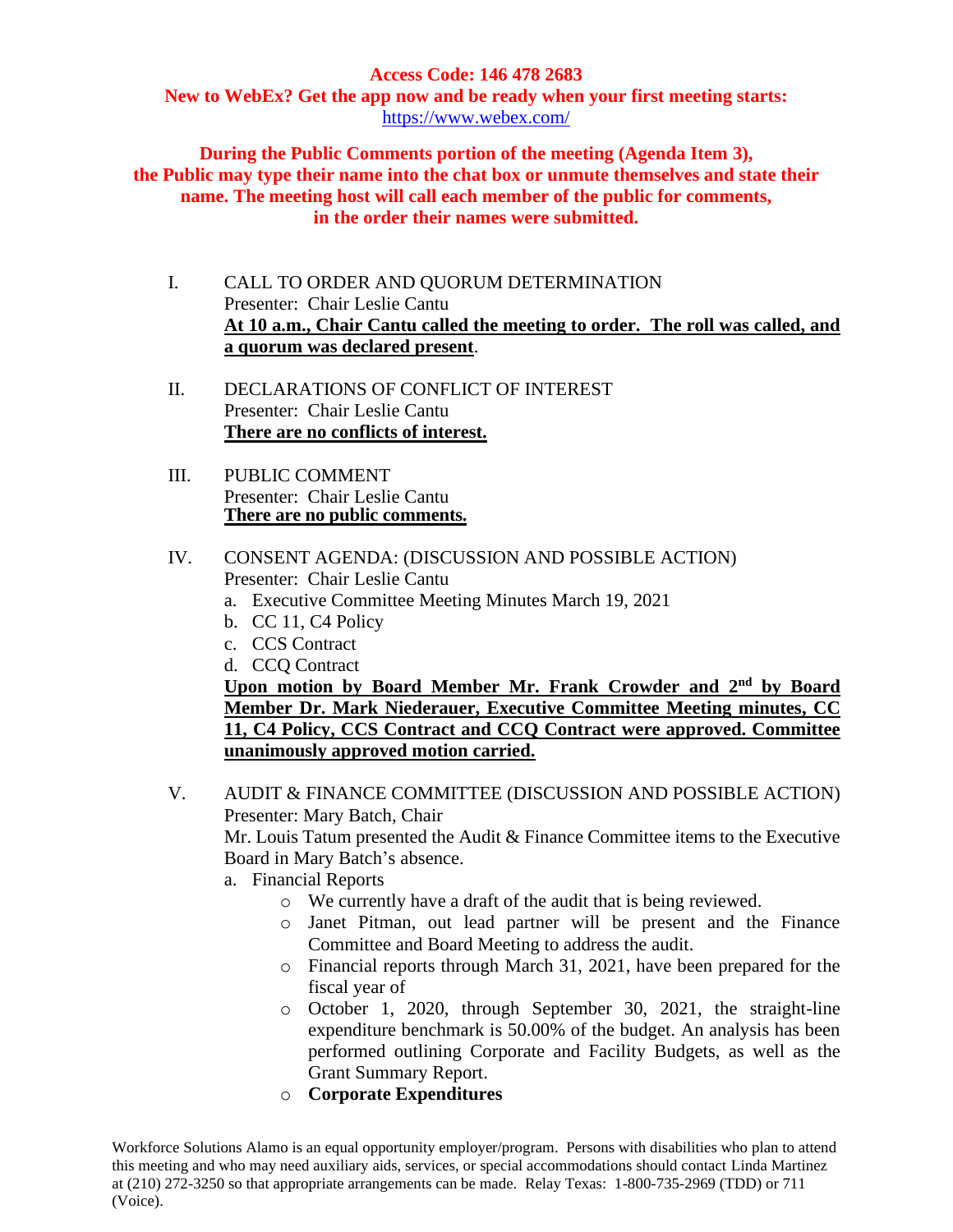# **Access Code: 146 478 2683**

**New to WebEx? Get the app now and be ready when your first meeting starts:**  <https://www.webex.com/>

**During the Public Comments portion of the meeting (Agenda Item 3), the Public may type their name into the chat box or unmute themselves and state their name. The meeting host will call each member of the public for comments, in the order their names were submitted.**

- I. CALL TO ORDER AND QUORUM DETERMINATION Presenter: Chair Leslie Cantu **At 10 a.m., Chair Cantu called the meeting to order. The roll was called, and a quorum was declared present**.
- II. DECLARATIONS OF CONFLICT OF INTEREST Presenter: Chair Leslie Cantu **There are no conflicts of interest.**
- III. PUBLIC COMMENT Presenter: Chair Leslie Cantu **There are no public comments.**

### IV. CONSENT AGENDA: (DISCUSSION AND POSSIBLE ACTION) Presenter: Chair Leslie Cantu

- a. Executive Committee Meeting Minutes March 19, 2021
- b. CC 11, C4 Policy
- c. CCS Contract
- d. CCQ Contract

**Upon motion by Board Member Mr. Frank Crowder and 2nd by Board Member Dr. Mark Niederauer, Executive Committee Meeting minutes, CC 11, C4 Policy, CCS Contract and CCQ Contract were approved. Committee unanimously approved motion carried.** 

V. AUDIT & FINANCE COMMITTEE (DISCUSSION AND POSSIBLE ACTION) Presenter: Mary Batch, Chair

Mr. Louis Tatum presented the Audit & Finance Committee items to the Executive Board in Mary Batch's absence.

- a. Financial Reports
	- o We currently have a draft of the audit that is being reviewed.
	- o Janet Pitman, out lead partner will be present and the Finance Committee and Board Meeting to address the audit.
	- o Financial reports through March 31, 2021, have been prepared for the fiscal year of
	- o October 1, 2020, through September 30, 2021, the straight-line expenditure benchmark is 50.00% of the budget. An analysis has been performed outlining Corporate and Facility Budgets, as well as the Grant Summary Report.
	- o **Corporate Expenditures**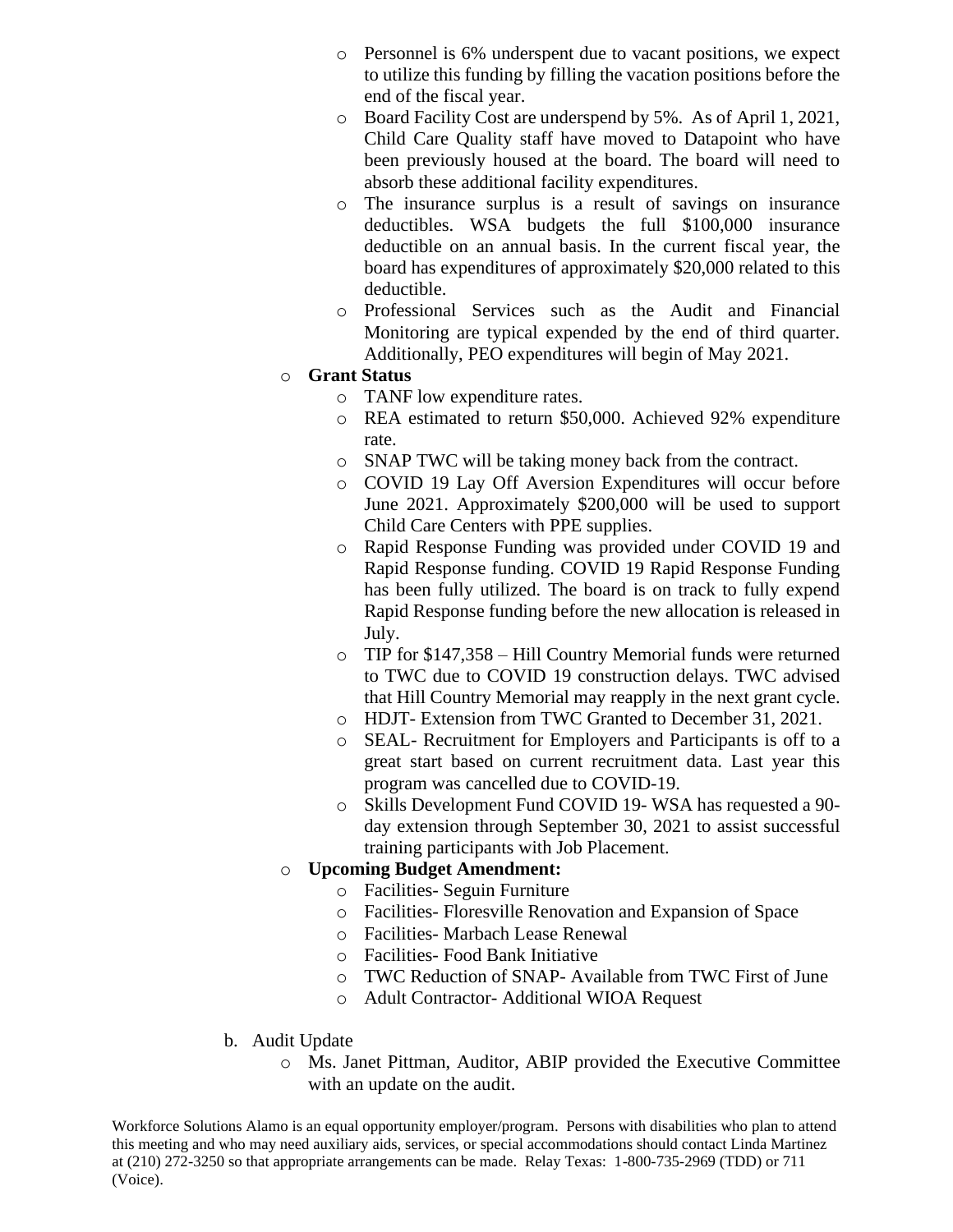- o Personnel is 6% underspent due to vacant positions, we expect to utilize this funding by filling the vacation positions before the end of the fiscal year.
- o Board Facility Cost are underspend by 5%. As of April 1, 2021, Child Care Quality staff have moved to Datapoint who have been previously housed at the board. The board will need to absorb these additional facility expenditures.
- o The insurance surplus is a result of savings on insurance deductibles. WSA budgets the full \$100,000 insurance deductible on an annual basis. In the current fiscal year, the board has expenditures of approximately \$20,000 related to this deductible.
- o Professional Services such as the Audit and Financial Monitoring are typical expended by the end of third quarter. Additionally, PEO expenditures will begin of May 2021.

### o **Grant Status**

- o TANF low expenditure rates.
- o REA estimated to return \$50,000. Achieved 92% expenditure rate.
- o SNAP TWC will be taking money back from the contract.
- o COVID 19 Lay Off Aversion Expenditures will occur before June 2021. Approximately \$200,000 will be used to support Child Care Centers with PPE supplies.
- o Rapid Response Funding was provided under COVID 19 and Rapid Response funding. COVID 19 Rapid Response Funding has been fully utilized. The board is on track to fully expend Rapid Response funding before the new allocation is released in July.
- o TIP for \$147,358 Hill Country Memorial funds were returned to TWC due to COVID 19 construction delays. TWC advised that Hill Country Memorial may reapply in the next grant cycle.
- o HDJT- Extension from TWC Granted to December 31, 2021.
- o SEAL- Recruitment for Employers and Participants is off to a great start based on current recruitment data. Last year this program was cancelled due to COVID-19.
- o Skills Development Fund COVID 19- WSA has requested a 90 day extension through September 30, 2021 to assist successful training participants with Job Placement.

# o **Upcoming Budget Amendment:**

- o Facilities- Seguin Furniture
- o Facilities- Floresville Renovation and Expansion of Space
- o Facilities- Marbach Lease Renewal
- o Facilities- Food Bank Initiative
- o TWC Reduction of SNAP- Available from TWC First of June
- o Adult Contractor- Additional WIOA Request
- b. Audit Update
	- o Ms. Janet Pittman, Auditor, ABIP provided the Executive Committee with an update on the audit.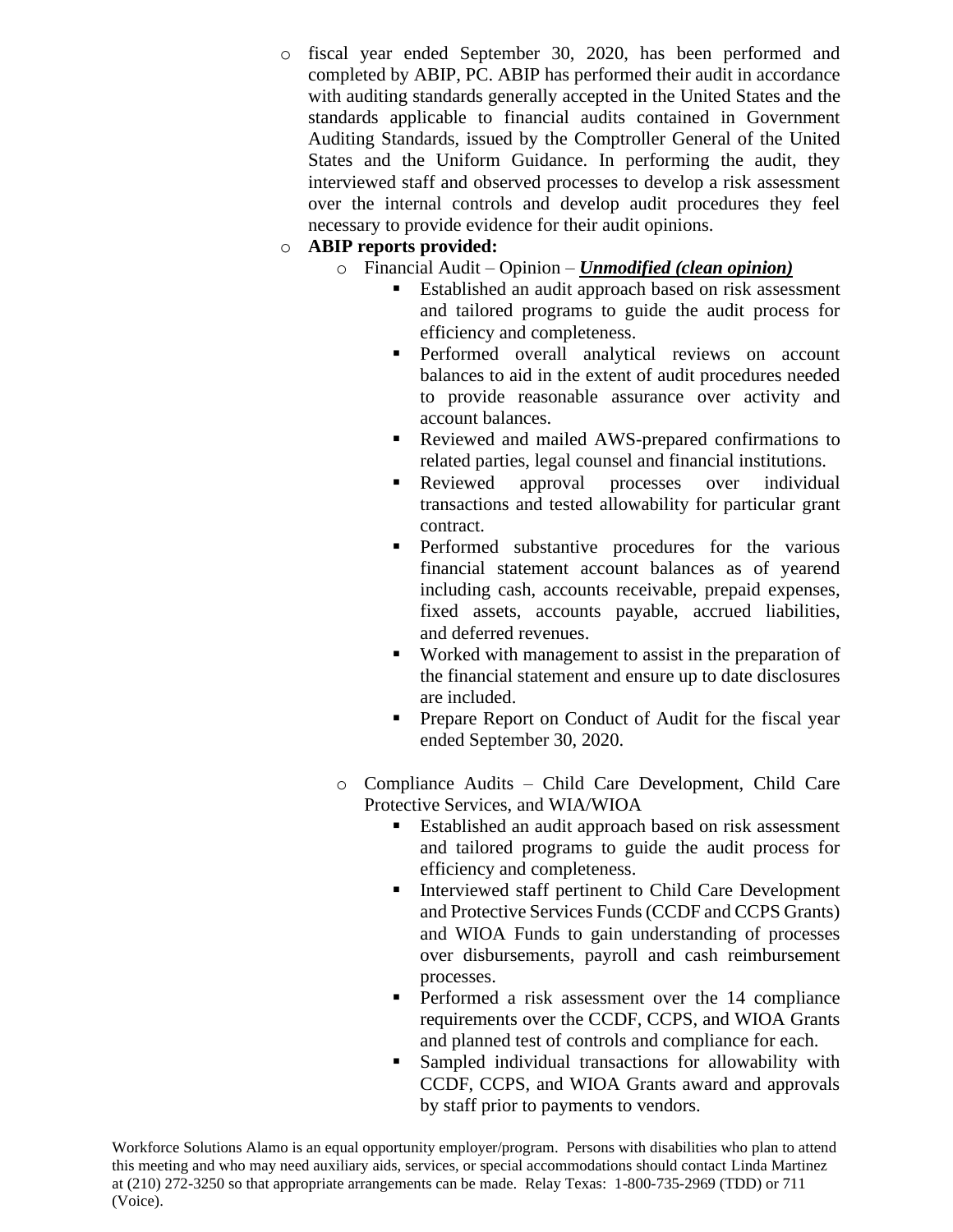o fiscal year ended September 30, 2020, has been performed and completed by ABIP, PC. ABIP has performed their audit in accordance with auditing standards generally accepted in the United States and the standards applicable to financial audits contained in Government Auditing Standards, issued by the Comptroller General of the United States and the Uniform Guidance. In performing the audit, they interviewed staff and observed processes to develop a risk assessment over the internal controls and develop audit procedures they feel necessary to provide evidence for their audit opinions.

## o **ABIP reports provided:**

- o Financial Audit Opinion *Unmodified (clean opinion)*
	- Established an audit approach based on risk assessment and tailored programs to guide the audit process for efficiency and completeness.
	- **•** Performed overall analytical reviews on account balances to aid in the extent of audit procedures needed to provide reasonable assurance over activity and account balances.
	- Reviewed and mailed AWS-prepared confirmations to related parties, legal counsel and financial institutions.
	- Reviewed approval processes over individual transactions and tested allowability for particular grant contract.
	- **•** Performed substantive procedures for the various financial statement account balances as of yearend including cash, accounts receivable, prepaid expenses, fixed assets, accounts payable, accrued liabilities, and deferred revenues.
	- Worked with management to assist in the preparation of the financial statement and ensure up to date disclosures are included.
	- **•** Prepare Report on Conduct of Audit for the fiscal year ended September 30, 2020.
- o Compliance Audits Child Care Development, Child Care Protective Services, and WIA/WIOA
	- **Established an audit approach based on risk assessment** and tailored programs to guide the audit process for efficiency and completeness.
	- **■** Interviewed staff pertinent to Child Care Development and Protective Services Funds (CCDF and CCPS Grants) and WIOA Funds to gain understanding of processes over disbursements, payroll and cash reimbursement processes.
	- Performed a risk assessment over the 14 compliance requirements over the CCDF, CCPS, and WIOA Grants and planned test of controls and compliance for each.
	- Sampled individual transactions for allowability with CCDF, CCPS, and WIOA Grants award and approvals by staff prior to payments to vendors.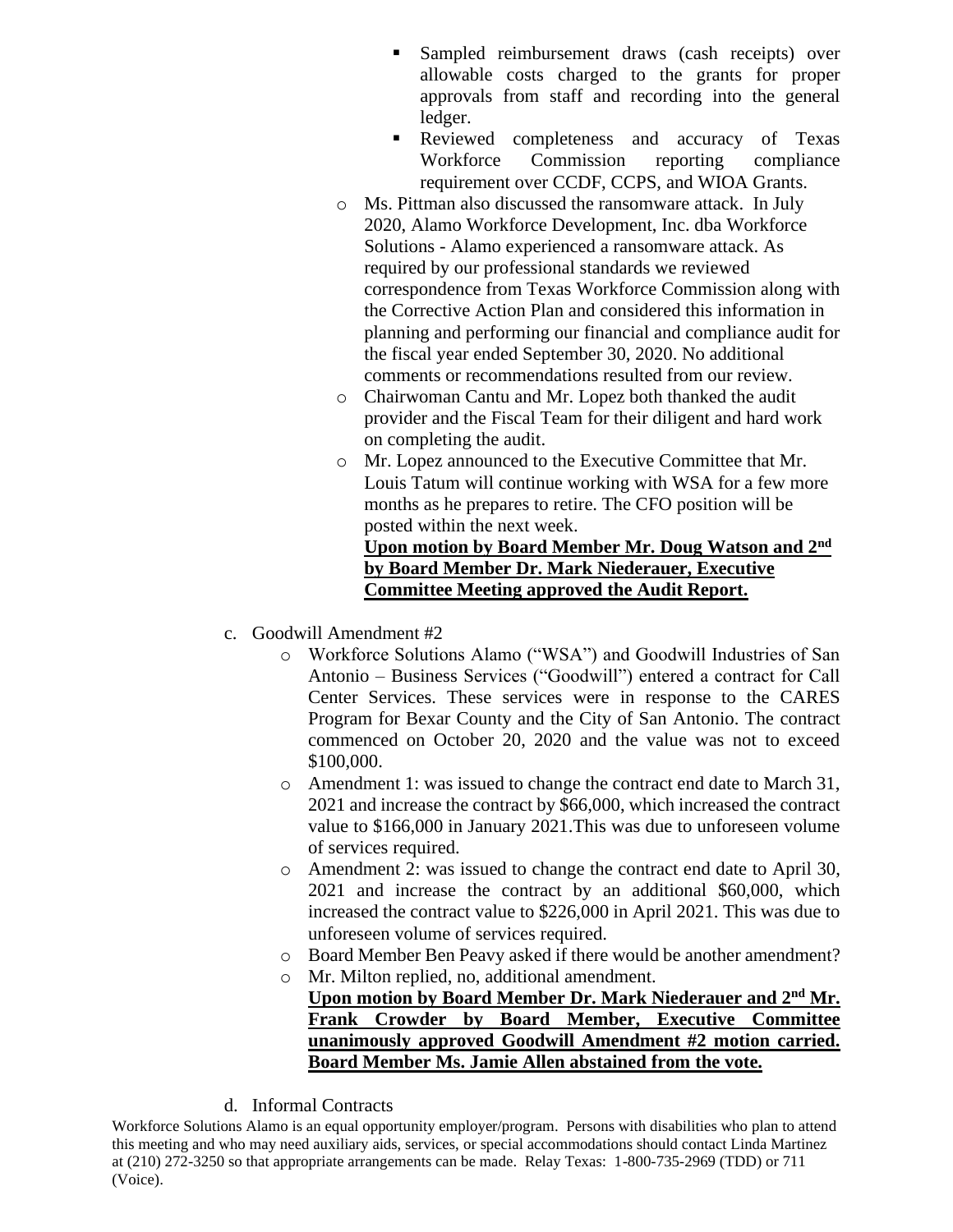- Sampled reimbursement draws (cash receipts) over allowable costs charged to the grants for proper approvals from staff and recording into the general ledger.
- **Exampleries Reviewed** completeness and accuracy of Texas Workforce Commission reporting compliance requirement over CCDF, CCPS, and WIOA Grants.
- o Ms. Pittman also discussed the ransomware attack. In July 2020, Alamo Workforce Development, Inc. dba Workforce Solutions - Alamo experienced a ransomware attack. As required by our professional standards we reviewed correspondence from Texas Workforce Commission along with the Corrective Action Plan and considered this information in planning and performing our financial and compliance audit for the fiscal year ended September 30, 2020. No additional comments or recommendations resulted from our review.
- o Chairwoman Cantu and Mr. Lopez both thanked the audit provider and the Fiscal Team for their diligent and hard work on completing the audit.
- o Mr. Lopez announced to the Executive Committee that Mr. Louis Tatum will continue working with WSA for a few more months as he prepares to retire. The CFO position will be posted within the next week.

# **Upon motion by Board Member Mr. Doug Watson and 2nd by Board Member Dr. Mark Niederauer, Executive Committee Meeting approved the Audit Report.**

- c. Goodwill Amendment #2
	- o Workforce Solutions Alamo ("WSA") and Goodwill Industries of San Antonio – Business Services ("Goodwill") entered a contract for Call Center Services. These services were in response to the CARES Program for Bexar County and the City of San Antonio. The contract commenced on October 20, 2020 and the value was not to exceed \$100,000.
	- o Amendment 1: was issued to change the contract end date to March 31, 2021 and increase the contract by \$66,000, which increased the contract value to \$166,000 in January 2021.This was due to unforeseen volume of services required.
	- o Amendment 2: was issued to change the contract end date to April 30, 2021 and increase the contract by an additional \$60,000, which increased the contract value to \$226,000 in April 2021. This was due to unforeseen volume of services required.
	- o Board Member Ben Peavy asked if there would be another amendment?
	- o Mr. Milton replied, no, additional amendment. **Upon motion by Board Member Dr. Mark Niederauer and 2nd Mr. Frank Crowder by Board Member, Executive Committee unanimously approved Goodwill Amendment #2 motion carried. Board Member Ms. Jamie Allen abstained from the vote.**
- d. Informal Contracts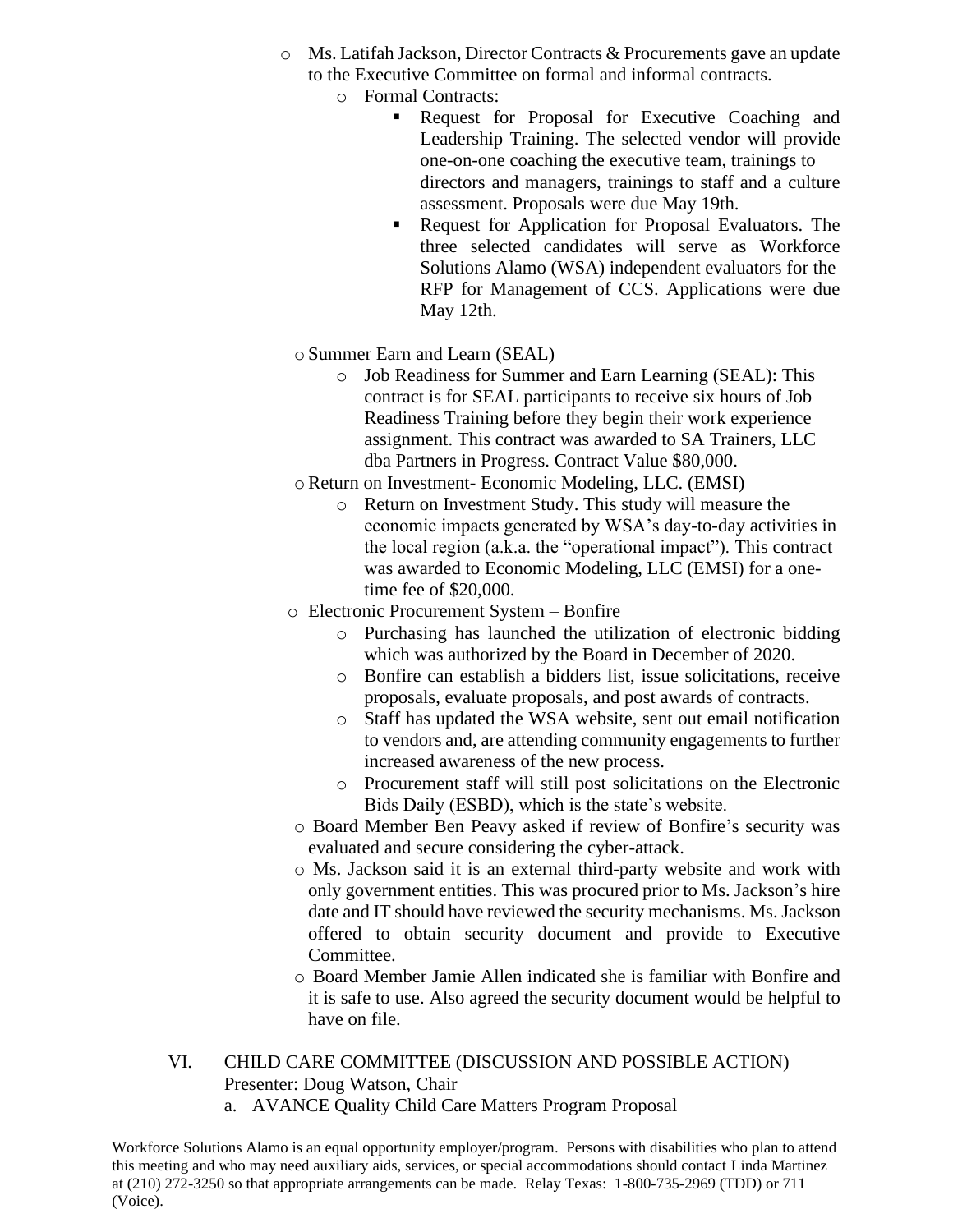- o Ms. Latifah Jackson, Director Contracts & Procurements gave an update to the Executive Committee on formal and informal contracts.
	- o Formal Contracts:
		- **EXECUTE:** Request for Proposal for Executive Coaching and Leadership Training. The selected vendor will provide one-on-one coaching the executive team, trainings to directors and managers, trainings to staff and a culture assessment. Proposals were due May 19th.
		- Request for Application for Proposal Evaluators. The three selected candidates will serve as Workforce Solutions Alamo (WSA) independent evaluators for the RFP for Management of CCS. Applications were due May 12th.
	- o Summer Earn and Learn (SEAL)
		- o Job Readiness for Summer and Earn Learning (SEAL): This contract is for SEAL participants to receive six hours of Job Readiness Training before they begin their work experience assignment. This contract was awarded to SA Trainers, LLC dba Partners in Progress. Contract Value \$80,000.
	- oReturn on Investment- Economic Modeling, LLC. (EMSI)
		- o Return on Investment Study. This study will measure the economic impacts generated by WSA's day-to-day activities in the local region (a.k.a. the "operational impact"). This contract was awarded to Economic Modeling, LLC (EMSI) for a onetime fee of \$20,000.
- o Electronic Procurement System Bonfire
	- o Purchasing has launched the utilization of electronic bidding which was authorized by the Board in December of 2020.
	- o Bonfire can establish a bidders list, issue solicitations, receive proposals, evaluate proposals, and post awards of contracts.
	- o Staff has updated the WSA website, sent out email notification to vendors and, are attending community engagements to further increased awareness of the new process.
	- o Procurement staff will still post solicitations on the Electronic Bids Daily (ESBD), which is the state's website.
- o Board Member Ben Peavy asked if review of Bonfire's security was evaluated and secure considering the cyber-attack.
- o Ms. Jackson said it is an external third-party website and work with only government entities. This was procured prior to Ms. Jackson's hire date and IT should have reviewed the security mechanisms. Ms. Jackson offered to obtain security document and provide to Executive Committee.
- o Board Member Jamie Allen indicated she is familiar with Bonfire and it is safe to use. Also agreed the security document would be helpful to have on file.
- VI. CHILD CARE COMMITTEE (DISCUSSION AND POSSIBLE ACTION) Presenter: Doug Watson, Chair
	- a. AVANCE Quality Child Care Matters Program Proposal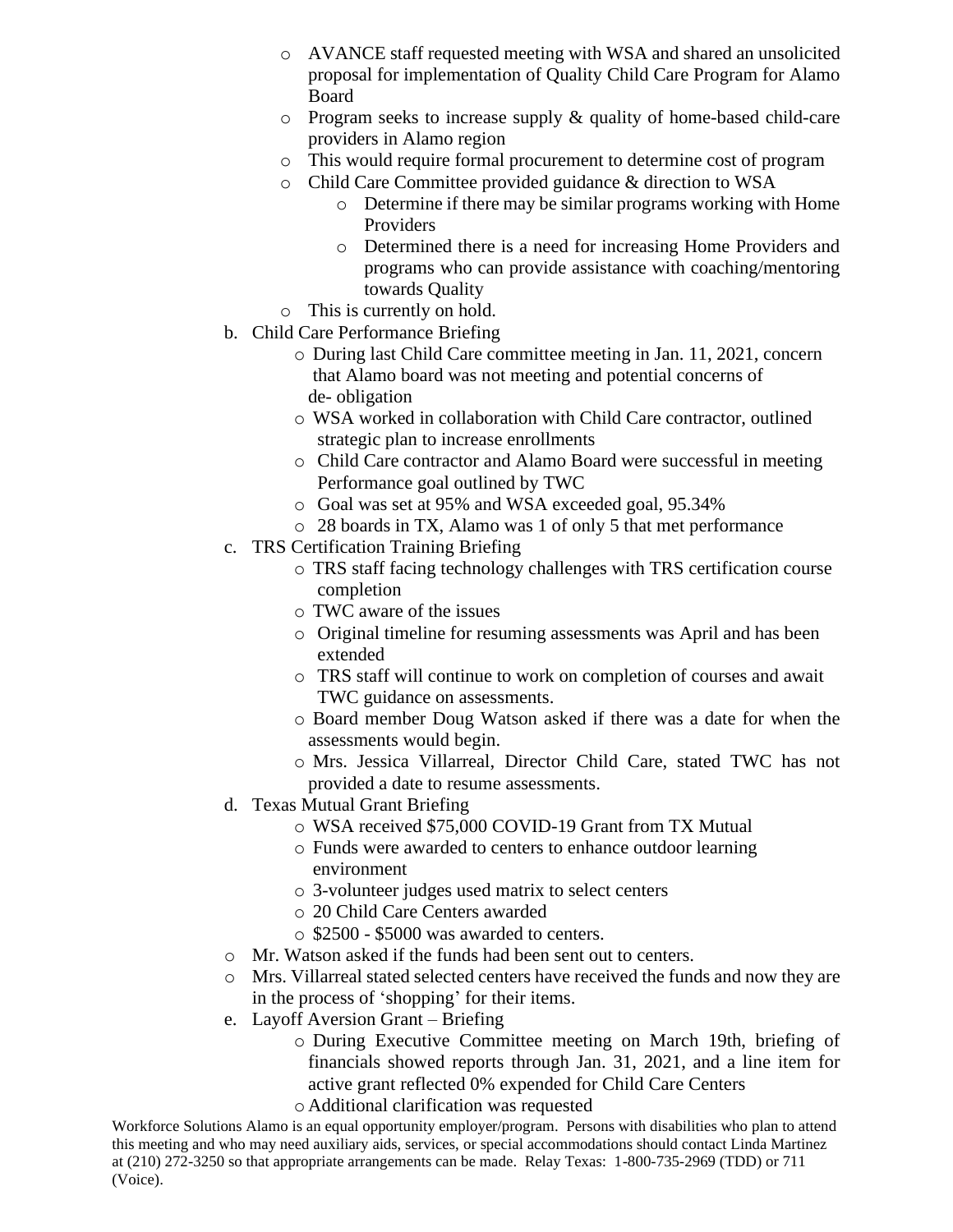- o AVANCE staff requested meeting with WSA and shared an unsolicited proposal for implementation of Quality Child Care Program for Alamo Board
- o Program seeks to increase supply & quality of home-based child-care providers in Alamo region
- o This would require formal procurement to determine cost of program
- o Child Care Committee provided guidance & direction to WSA
	- o Determine if there may be similar programs working with Home Providers
	- o Determined there is a need for increasing Home Providers and programs who can provide assistance with coaching/mentoring towards Quality
- o This is currently on hold.
- b. Child Care Performance Briefing
	- o During last Child Care committee meeting in Jan. 11, 2021, concern that Alamo board was not meeting and potential concerns of de- obligation
	- o WSA worked in collaboration with Child Care contractor, outlined strategic plan to increase enrollments
	- o Child Care contractor and Alamo Board were successful in meeting Performance goal outlined by TWC
	- o Goal was set at 95% and WSA exceeded goal, 95.34%
	- o 28 boards in TX, Alamo was 1 of only 5 that met performance
- c. TRS Certification Training Briefing
	- o TRS staff facing technology challenges with TRS certification course completion
	- o TWC aware of the issues
	- o Original timeline for resuming assessments was April and has been extended
	- o TRS staff will continue to work on completion of courses and await TWC guidance on assessments.
	- o Board member Doug Watson asked if there was a date for when the assessments would begin.
	- o Mrs. Jessica Villarreal, Director Child Care, stated TWC has not provided a date to resume assessments.
- d. Texas Mutual Grant Briefing
	- o WSA received \$75,000 COVID-19 Grant from TX Mutual
	- o Funds were awarded to centers to enhance outdoor learning environment
	- o 3-volunteer judges used matrix to select centers
	- o 20 Child Care Centers awarded
	- o \$2500 \$5000 was awarded to centers.
- o Mr. Watson asked if the funds had been sent out to centers.
- o Mrs. Villarreal stated selected centers have received the funds and now they are in the process of 'shopping' for their items.
- e. Layoff Aversion Grant Briefing
	- o During Executive Committee meeting on March 19th, briefing of financials showed reports through Jan. 31, 2021, and a line item for active grant reflected 0% expended for Child Care Centers
	- o Additional clarification was requested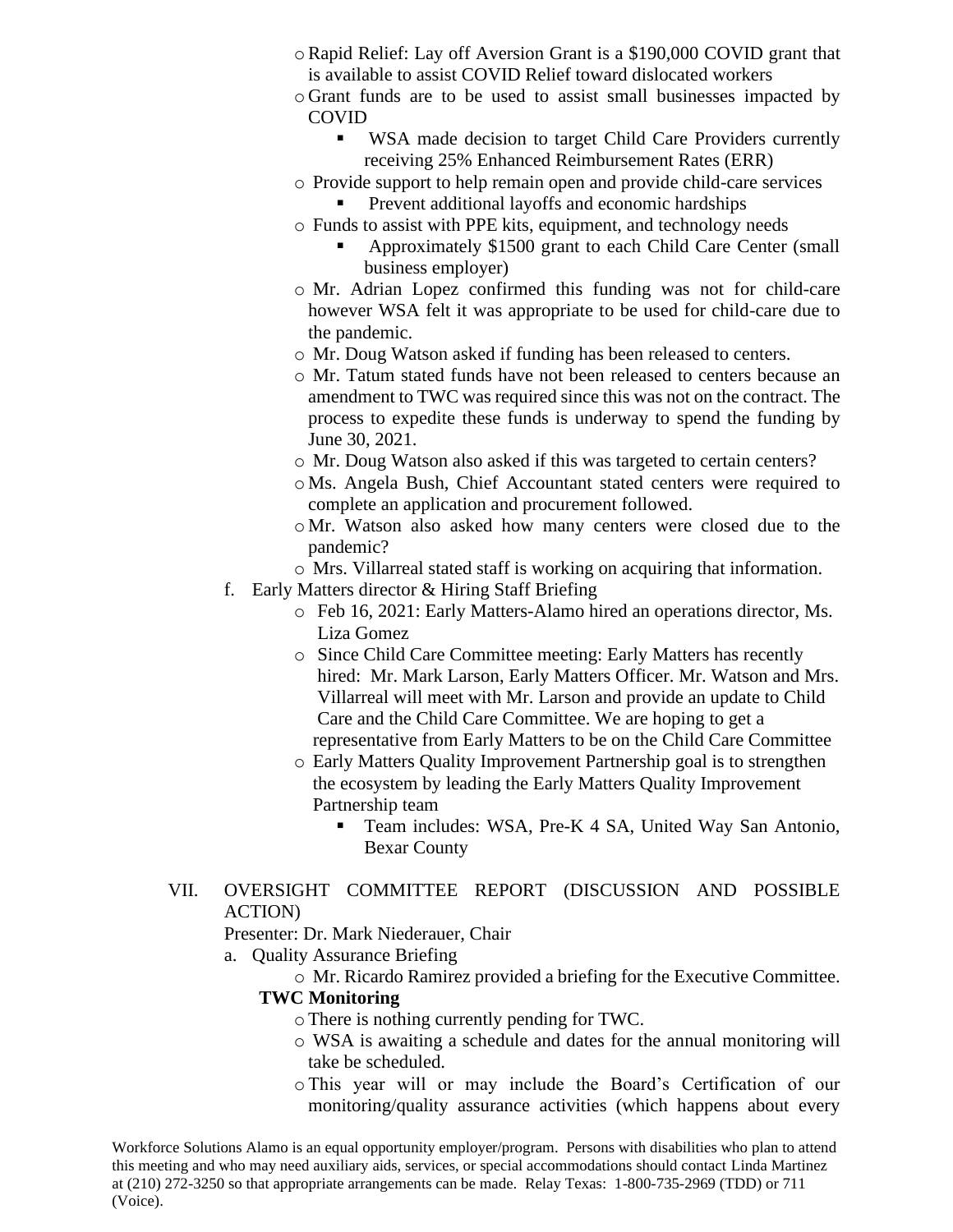- oRapid Relief: Lay off Aversion Grant is a \$190,000 COVID grant that is available to assist COVID Relief toward dislocated workers
- o Grant funds are to be used to assist small businesses impacted by COVID
	- WSA made decision to target Child Care Providers currently receiving 25% Enhanced Reimbursement Rates (ERR)
- o Provide support to help remain open and provide child-care services
	- Prevent additional layoffs and economic hardships
- o Funds to assist with PPE kits, equipment, and technology needs
	- Approximately \$1500 grant to each Child Care Center (small business employer)
- o Mr. Adrian Lopez confirmed this funding was not for child-care however WSA felt it was appropriate to be used for child-care due to the pandemic.
- o Mr. Doug Watson asked if funding has been released to centers.
- o Mr. Tatum stated funds have not been released to centers because an amendment to TWC was required since this was not on the contract. The process to expedite these funds is underway to spend the funding by June 30, 2021.
- o Mr. Doug Watson also asked if this was targeted to certain centers?
- o Ms. Angela Bush, Chief Accountant stated centers were required to complete an application and procurement followed.
- o Mr. Watson also asked how many centers were closed due to the pandemic?
- o Mrs. Villarreal stated staff is working on acquiring that information.
- f. Early Matters director & Hiring Staff Briefing
	- o Feb 16, 2021: Early Matters-Alamo hired an operations director, Ms. Liza Gomez
	- o Since Child Care Committee meeting: Early Matters has recently hired: Mr. Mark Larson, Early Matters Officer. Mr. Watson and Mrs. Villarreal will meet with Mr. Larson and provide an update to Child Care and the Child Care Committee. We are hoping to get a representative from Early Matters to be on the Child Care Committee
	- o Early Matters Quality Improvement Partnership goal is to strengthen the ecosystem by leading the Early Matters Quality Improvement Partnership team
		- Team includes: WSA, Pre-K 4 SA, United Way San Antonio, Bexar County
- VII. OVERSIGHT COMMITTEE REPORT (DISCUSSION AND POSSIBLE ACTION)

Presenter: Dr. Mark Niederauer, Chair

- a. Quality Assurance Briefing
	- o Mr. Ricardo Ramirez provided a briefing for the Executive Committee.

# **TWC Monitoring**

- oThere is nothing currently pending for TWC.
- o WSA is awaiting a schedule and dates for the annual monitoring will take be scheduled.
- oThis year will or may include the Board's Certification of our monitoring/quality assurance activities (which happens about every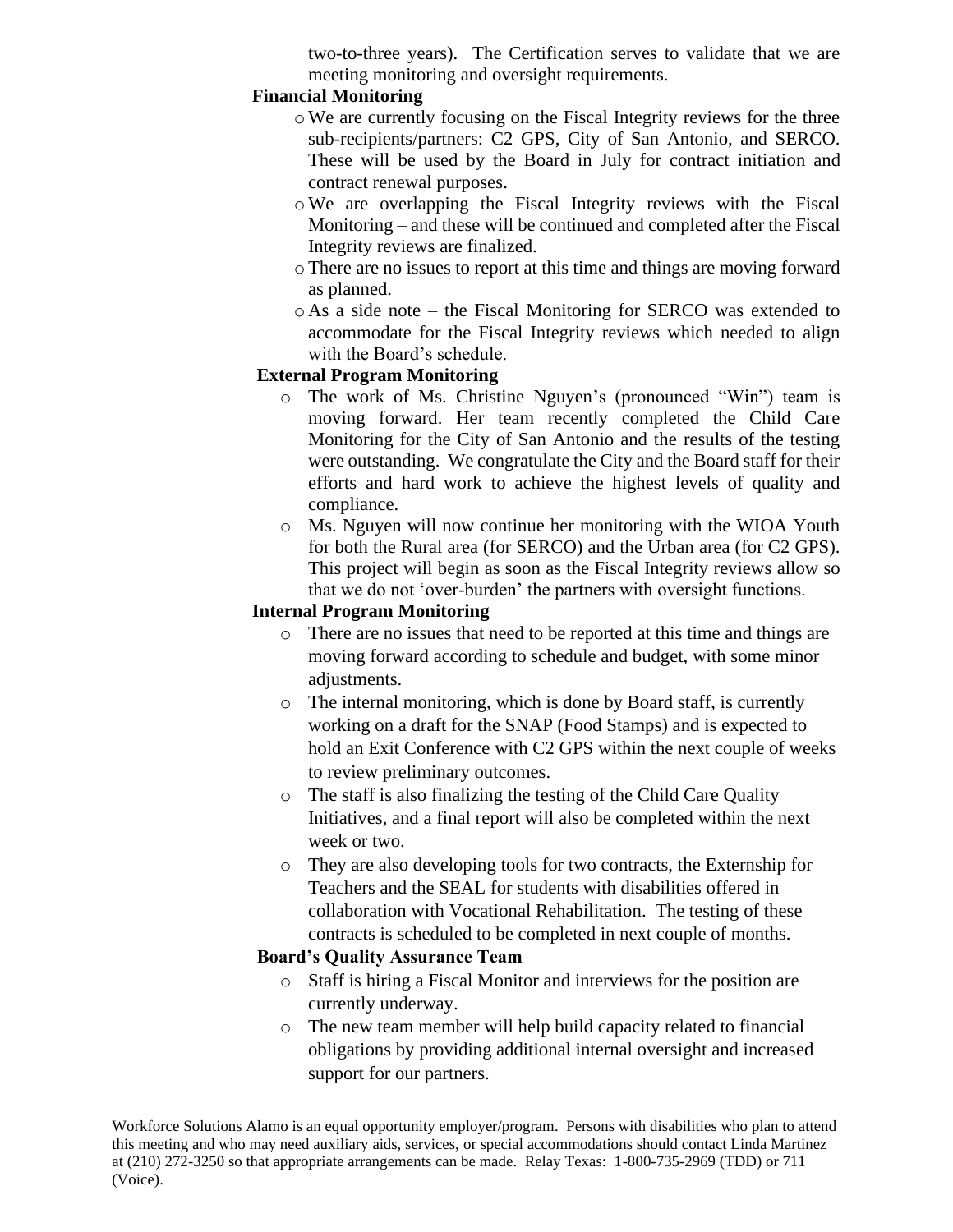two-to-three years). The Certification serves to validate that we are meeting monitoring and oversight requirements.

## **Financial Monitoring**

- oWe are currently focusing on the Fiscal Integrity reviews for the three sub-recipients/partners: C2 GPS, City of San Antonio, and SERCO. These will be used by the Board in July for contract initiation and contract renewal purposes.
- oWe are overlapping the Fiscal Integrity reviews with the Fiscal Monitoring – and these will be continued and completed after the Fiscal Integrity reviews are finalized.
- oThere are no issues to report at this time and things are moving forward as planned.
- o As a side note the Fiscal Monitoring for SERCO was extended to accommodate for the Fiscal Integrity reviews which needed to align with the Board's schedule.

### **External Program Monitoring**

- o The work of Ms. Christine Nguyen's (pronounced "Win") team is moving forward. Her team recently completed the Child Care Monitoring for the City of San Antonio and the results of the testing were outstanding. We congratulate the City and the Board staff for their efforts and hard work to achieve the highest levels of quality and compliance.
- o Ms. Nguyen will now continue her monitoring with the WIOA Youth for both the Rural area (for SERCO) and the Urban area (for C2 GPS). This project will begin as soon as the Fiscal Integrity reviews allow so that we do not 'over-burden' the partners with oversight functions.

#### **Internal Program Monitoring**

- o There are no issues that need to be reported at this time and things are moving forward according to schedule and budget, with some minor adjustments.
- o The internal monitoring, which is done by Board staff, is currently working on a draft for the SNAP (Food Stamps) and is expected to hold an Exit Conference with C2 GPS within the next couple of weeks to review preliminary outcomes.
- o The staff is also finalizing the testing of the Child Care Quality Initiatives, and a final report will also be completed within the next week or two.
- o They are also developing tools for two contracts, the Externship for Teachers and the SEAL for students with disabilities offered in collaboration with Vocational Rehabilitation. The testing of these contracts is scheduled to be completed in next couple of months.

#### **Board's Quality Assurance Team**

- o Staff is hiring a Fiscal Monitor and interviews for the position are currently underway.
- o The new team member will help build capacity related to financial obligations by providing additional internal oversight and increased support for our partners.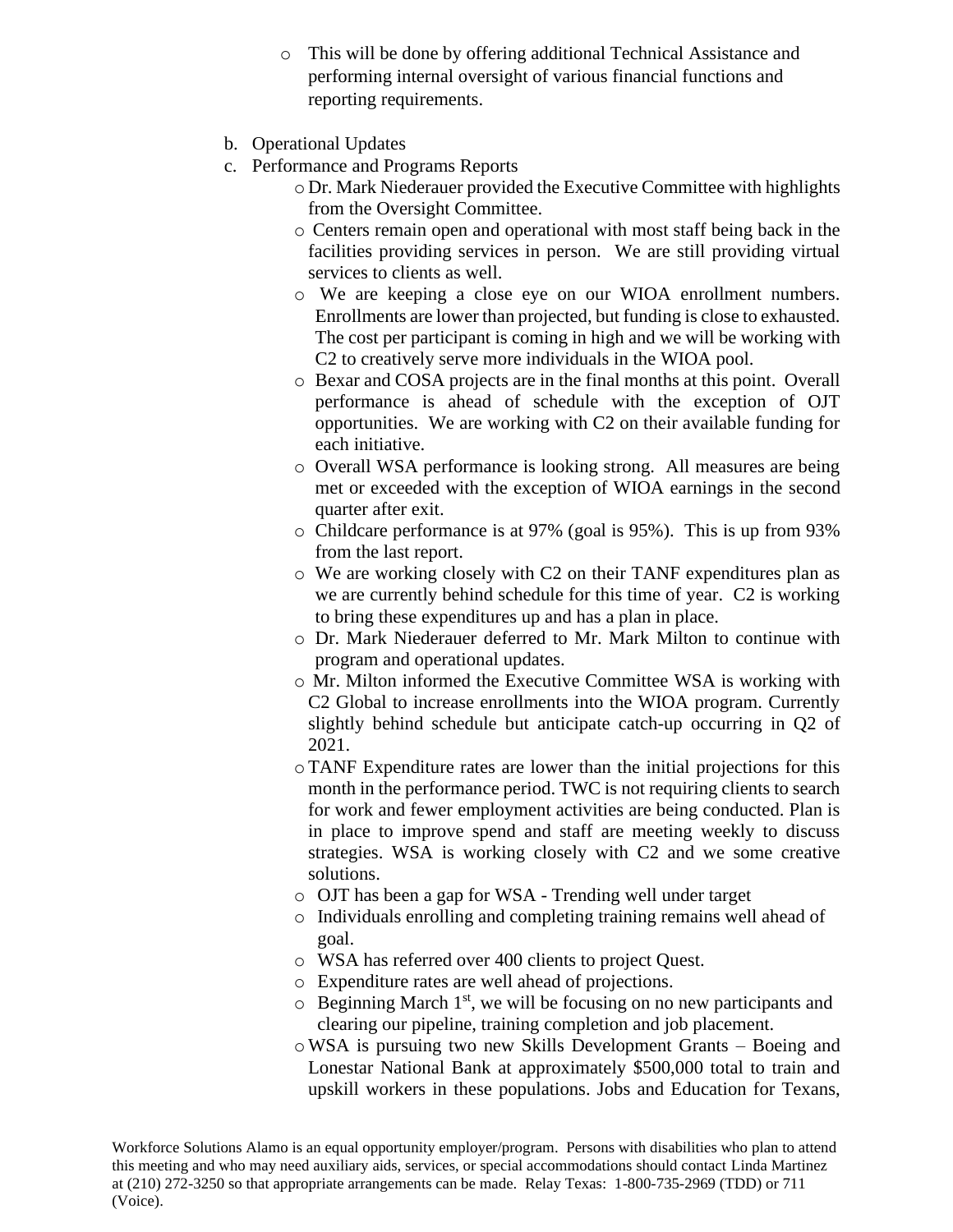- o This will be done by offering additional Technical Assistance and performing internal oversight of various financial functions and reporting requirements.
- b. Operational Updates
- c. Performance and Programs Reports
	- o Dr. Mark Niederauer provided the Executive Committee with highlights from the Oversight Committee.
	- o Centers remain open and operational with most staff being back in the facilities providing services in person. We are still providing virtual services to clients as well.
	- o We are keeping a close eye on our WIOA enrollment numbers. Enrollments are lower than projected, but funding is close to exhausted. The cost per participant is coming in high and we will be working with C2 to creatively serve more individuals in the WIOA pool.
	- o Bexar and COSA projects are in the final months at this point. Overall performance is ahead of schedule with the exception of OJT opportunities. We are working with C2 on their available funding for each initiative.
	- o Overall WSA performance is looking strong. All measures are being met or exceeded with the exception of WIOA earnings in the second quarter after exit.
	- o Childcare performance is at 97% (goal is 95%). This is up from 93% from the last report.
	- o We are working closely with C2 on their TANF expenditures plan as we are currently behind schedule for this time of year. C2 is working to bring these expenditures up and has a plan in place.
	- o Dr. Mark Niederauer deferred to Mr. Mark Milton to continue with program and operational updates.
	- o Mr. Milton informed the Executive Committee WSA is working with C2 Global to increase enrollments into the WIOA program. Currently slightly behind schedule but anticipate catch-up occurring in Q2 of 2021.
	- oTANF Expenditure rates are lower than the initial projections for this month in the performance period. TWC is not requiring clients to search for work and fewer employment activities are being conducted. Plan is in place to improve spend and staff are meeting weekly to discuss strategies. WSA is working closely with C2 and we some creative solutions.
	- o OJT has been a gap for WSA Trending well under target
	- o Individuals enrolling and completing training remains well ahead of goal.
	- o WSA has referred over 400 clients to project Quest.
	- o Expenditure rates are well ahead of projections.
	- $\circ$  Beginning March 1<sup>st</sup>, we will be focusing on no new participants and clearing our pipeline, training completion and job placement.
	- oWSA is pursuing two new Skills Development Grants Boeing and Lonestar National Bank at approximately \$500,000 total to train and upskill workers in these populations. Jobs and Education for Texans,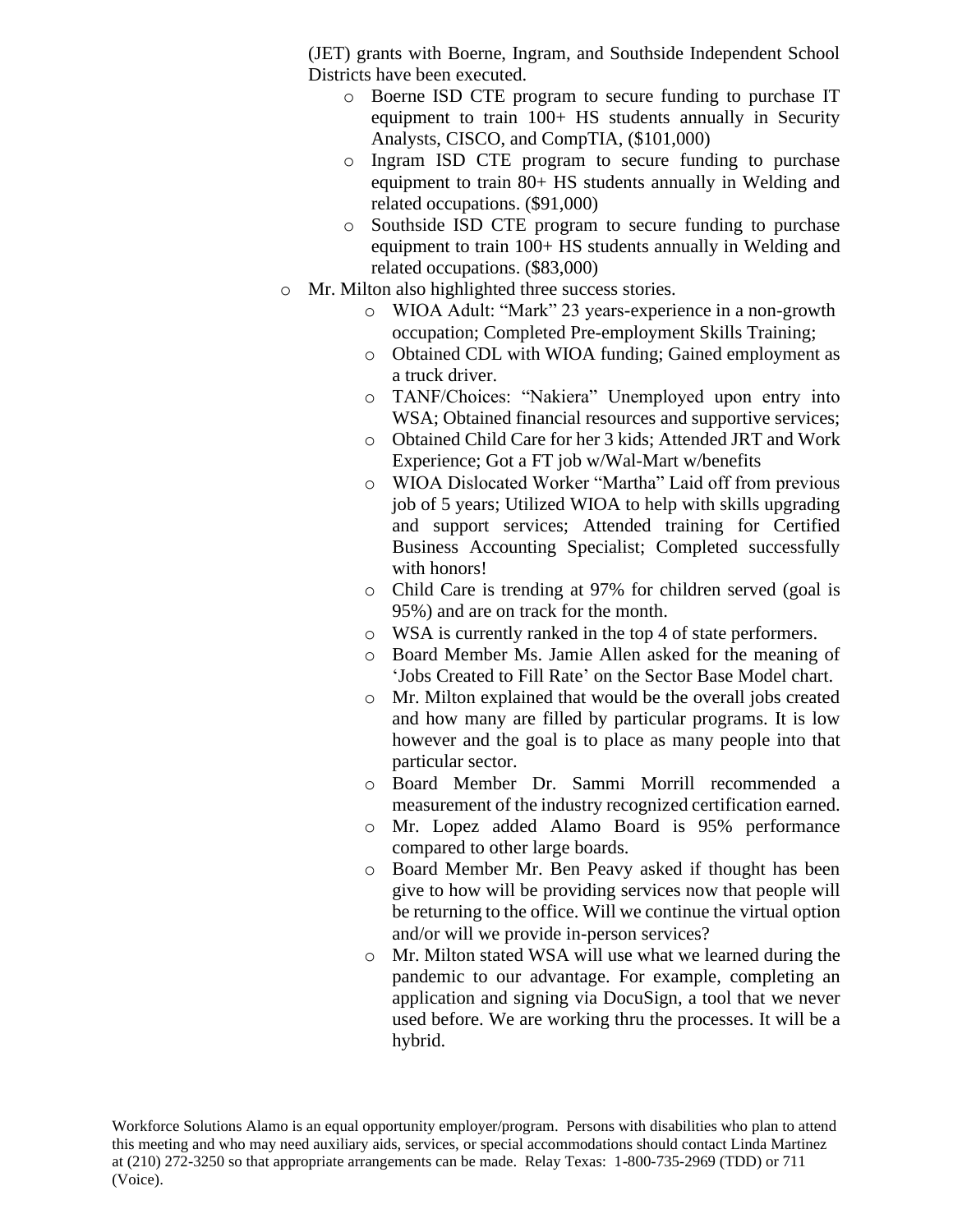(JET) grants with Boerne, Ingram, and Southside Independent School Districts have been executed.

- o Boerne ISD CTE program to secure funding to purchase IT equipment to train 100+ HS students annually in Security Analysts, CISCO, and CompTIA, (\$101,000)
- o Ingram ISD CTE program to secure funding to purchase equipment to train 80+ HS students annually in Welding and related occupations. (\$91,000)
- o Southside ISD CTE program to secure funding to purchase equipment to train 100+ HS students annually in Welding and related occupations. (\$83,000)
- o Mr. Milton also highlighted three success stories.
	- o WIOA Adult: "Mark" 23 years-experience in a non-growth occupation; Completed Pre-employment Skills Training;
	- o Obtained CDL with WIOA funding; Gained employment as a truck driver.
	- o TANF/Choices: "Nakiera" Unemployed upon entry into WSA; Obtained financial resources and supportive services;
	- o Obtained Child Care for her 3 kids; Attended JRT and Work Experience; Got a FT job w/Wal-Mart w/benefits
	- o WIOA Dislocated Worker "Martha" Laid off from previous job of 5 years; Utilized WIOA to help with skills upgrading and support services; Attended training for Certified Business Accounting Specialist; Completed successfully with honors!
	- o Child Care is trending at 97% for children served (goal is 95%) and are on track for the month.
	- o WSA is currently ranked in the top 4 of state performers.
	- o Board Member Ms. Jamie Allen asked for the meaning of 'Jobs Created to Fill Rate' on the Sector Base Model chart.
	- o Mr. Milton explained that would be the overall jobs created and how many are filled by particular programs. It is low however and the goal is to place as many people into that particular sector.
	- o Board Member Dr. Sammi Morrill recommended a measurement of the industry recognized certification earned.
	- o Mr. Lopez added Alamo Board is 95% performance compared to other large boards.
	- o Board Member Mr. Ben Peavy asked if thought has been give to how will be providing services now that people will be returning to the office. Will we continue the virtual option and/or will we provide in-person services?
	- o Mr. Milton stated WSA will use what we learned during the pandemic to our advantage. For example, completing an application and signing via DocuSign, a tool that we never used before. We are working thru the processes. It will be a hybrid.

Workforce Solutions Alamo is an equal opportunity employer/program. Persons with disabilities who plan to attend this meeting and who may need auxiliary aids, services, or special accommodations should contact Linda Martinez at (210) 272-3250 so that appropriate arrangements can be made. Relay Texas: 1-800-735-2969 (TDD) or 711 (Voice).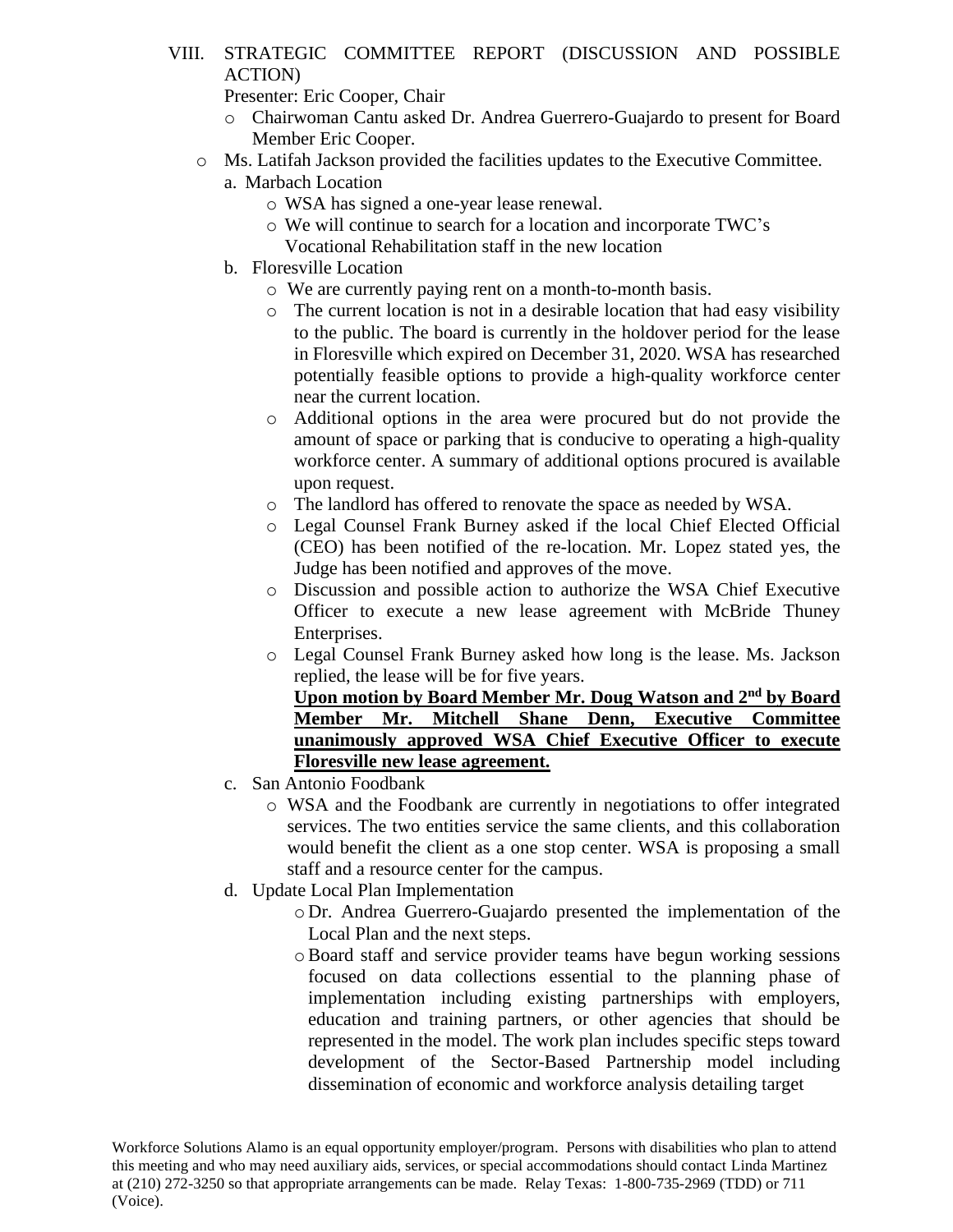- VIII. STRATEGIC COMMITTEE REPORT (DISCUSSION AND POSSIBLE ACTION)
	- Presenter: Eric Cooper, Chair
	- o Chairwoman Cantu asked Dr. Andrea Guerrero-Guajardo to present for Board Member Eric Cooper.
	- o Ms. Latifah Jackson provided the facilities updates to the Executive Committee.
		- a. Marbach Location
			- o WSA has signed a one-year lease renewal.
			- o We will continue to search for a location and incorporate TWC's
			- Vocational Rehabilitation staff in the new location
		- b. Floresville Location
			- o We are currently paying rent on a month-to-month basis.
			- o The current location is not in a desirable location that had easy visibility to the public. The board is currently in the holdover period for the lease in Floresville which expired on December 31, 2020. WSA has researched potentially feasible options to provide a high-quality workforce center near the current location.
			- o Additional options in the area were procured but do not provide the amount of space or parking that is conducive to operating a high-quality workforce center. A summary of additional options procured is available upon request.
			- o The landlord has offered to renovate the space as needed by WSA.
			- o Legal Counsel Frank Burney asked if the local Chief Elected Official (CEO) has been notified of the re-location. Mr. Lopez stated yes, the Judge has been notified and approves of the move.
			- o Discussion and possible action to authorize the WSA Chief Executive Officer to execute a new lease agreement with McBride Thuney Enterprises.
			- o Legal Counsel Frank Burney asked how long is the lease. Ms. Jackson replied, the lease will be for five years.

**Upon motion by Board Member Mr. Doug Watson and 2nd by Board Member Mr. Mitchell Shane Denn, Executive Committee unanimously approved WSA Chief Executive Officer to execute Floresville new lease agreement.**

- c. San Antonio Foodbank
	- o WSA and the Foodbank are currently in negotiations to offer integrated services. The two entities service the same clients, and this collaboration would benefit the client as a one stop center. WSA is proposing a small staff and a resource center for the campus.
- d. Update Local Plan Implementation
	- o Dr. Andrea Guerrero-Guajardo presented the implementation of the Local Plan and the next steps.
	- oBoard staff and service provider teams have begun working sessions focused on data collections essential to the planning phase of implementation including existing partnerships with employers, education and training partners, or other agencies that should be represented in the model. The work plan includes specific steps toward development of the Sector-Based Partnership model including dissemination of economic and workforce analysis detailing target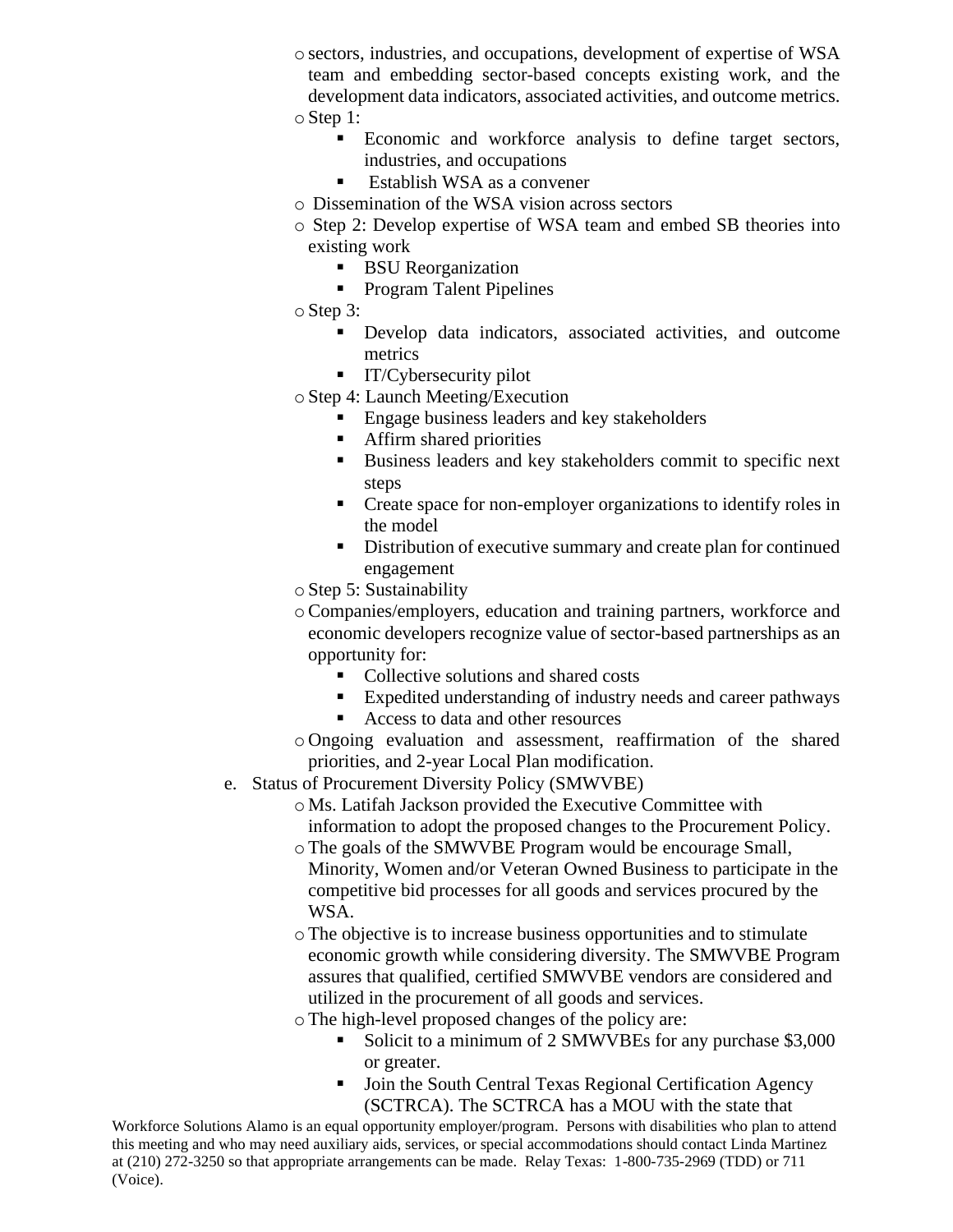- o sectors, industries, and occupations, development of expertise of WSA team and embedding sector-based concepts existing work, and the development data indicators, associated activities, and outcome metrics. o Step 1:
	- Economic and workforce analysis to define target sectors, industries, and occupations
	- $\blacksquare$  Establish WSA as a convener
- o Dissemination of the WSA vision across sectors
- o Step 2: Develop expertise of WSA team and embed SB theories into existing work
	- BSU Reorganization
	- Program Talent Pipelines
- o Step 3:
	- **•** Develop data indicators, associated activities, and outcome metrics
	- **•** IT/Cybersecurity pilot
- o Step 4: Launch Meeting/Execution
	- Engage business leaders and key stakeholders
	- Affirm shared priorities
	- Business leaders and key stakeholders commit to specific next steps
	- Create space for non-employer organizations to identify roles in the model
	- Distribution of executive summary and create plan for continued engagement
- o Step 5: Sustainability
- oCompanies/employers, education and training partners, workforce and economic developers recognize value of sector-based partnerships as an opportunity for:
	- Collective solutions and shared costs
	- Expedited understanding of industry needs and career pathways
	- Access to data and other resources
- o Ongoing evaluation and assessment, reaffirmation of the shared priorities, and 2-year Local Plan modification.
- e. Status of Procurement Diversity Policy (SMWVBE)
	- o Ms. Latifah Jackson provided the Executive Committee with information to adopt the proposed changes to the Procurement Policy.
	- oThe goals of the SMWVBE Program would be encourage Small, Minority, Women and/or Veteran Owned Business to participate in the competitive bid processes for all goods and services procured by the WSA.
	- oThe objective is to increase business opportunities and to stimulate economic growth while considering diversity. The SMWVBE Program assures that qualified, certified SMWVBE vendors are considered and utilized in the procurement of all goods and services.
	- oThe high-level proposed changes of the policy are:
		- Solicit to a minimum of 2 SMWVBEs for any purchase \$3,000 or greater.
		- Join the South Central Texas Regional Certification Agency (SCTRCA). The SCTRCA has a MOU with the state that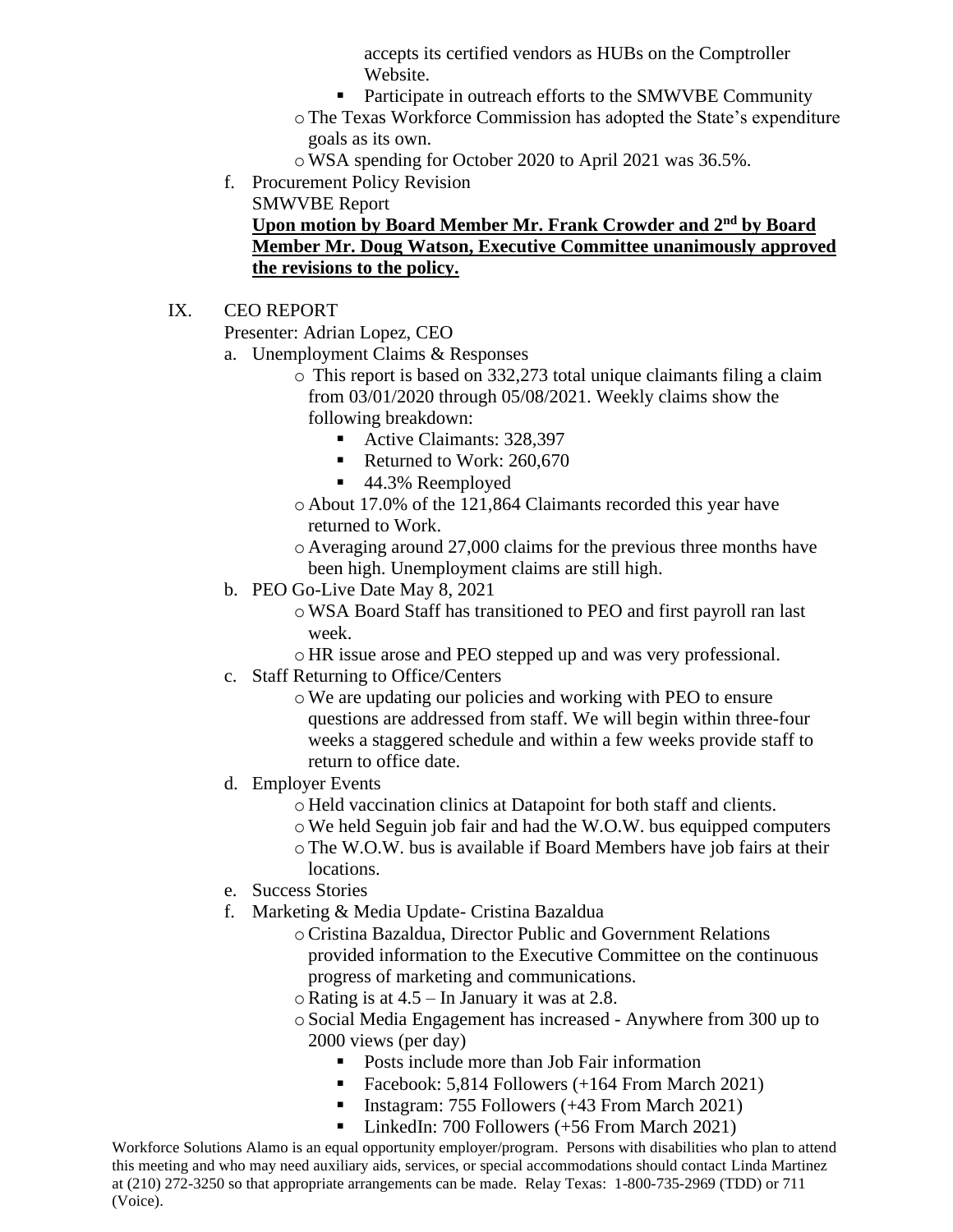accepts its certified vendors as HUBs on the Comptroller Website.

- Participate in outreach efforts to the SMWVBE Community
- oThe Texas Workforce Commission has adopted the State's expenditure goals as its own.
- oWSA spending for October 2020 to April 2021 was 36.5%.
- f. Procurement Policy Revision

SMWVBE Report

# **Upon motion by Board Member Mr. Frank Crowder and 2nd by Board Member Mr. Doug Watson, Executive Committee unanimously approved the revisions to the policy.**

# IX. CEO REPORT

Presenter: Adrian Lopez, CEO

- a. Unemployment Claims & Responses
	- o This report is based on 332,273 total unique claimants filing a claim from 03/01/2020 through 05/08/2021. Weekly claims show the following breakdown:
		- Active Claimants: 328,397
		- Returned to Work: 260,670
		- 44.3% Reemployed
	- o About 17.0% of the 121,864 Claimants recorded this year have returned to Work.
	- o Averaging around 27,000 claims for the previous three months have been high. Unemployment claims are still high.
- b. PEO Go-Live Date May 8, 2021
	- oWSA Board Staff has transitioned to PEO and first payroll ran last week.
	- o HR issue arose and PEO stepped up and was very professional.
- c. Staff Returning to Office/Centers
	- oWe are updating our policies and working with PEO to ensure questions are addressed from staff. We will begin within three-four weeks a staggered schedule and within a few weeks provide staff to return to office date.
- d. Employer Events
	- o Held vaccination clinics at Datapoint for both staff and clients.
	- oWe held Seguin job fair and had the W.O.W. bus equipped computers
	- oThe W.O.W. bus is available if Board Members have job fairs at their locations.
- e. Success Stories
- f. Marketing & Media Update- Cristina Bazaldua
	- oCristina Bazaldua, Director Public and Government Relations provided information to the Executive Committee on the continuous progress of marketing and communications.
	- $\circ$  Rating is at 4.5 In January it was at 2.8.
	- o Social Media Engagement has increased Anywhere from 300 up to 2000 views (per day)
		- Posts include more than Job Fair information
		- Facebook: 5,814 Followers (+164 From March 2021)
		- Instagram: 755 Followers (+43 From March 2021)
		- LinkedIn: 700 Followers (+56 From March 2021)